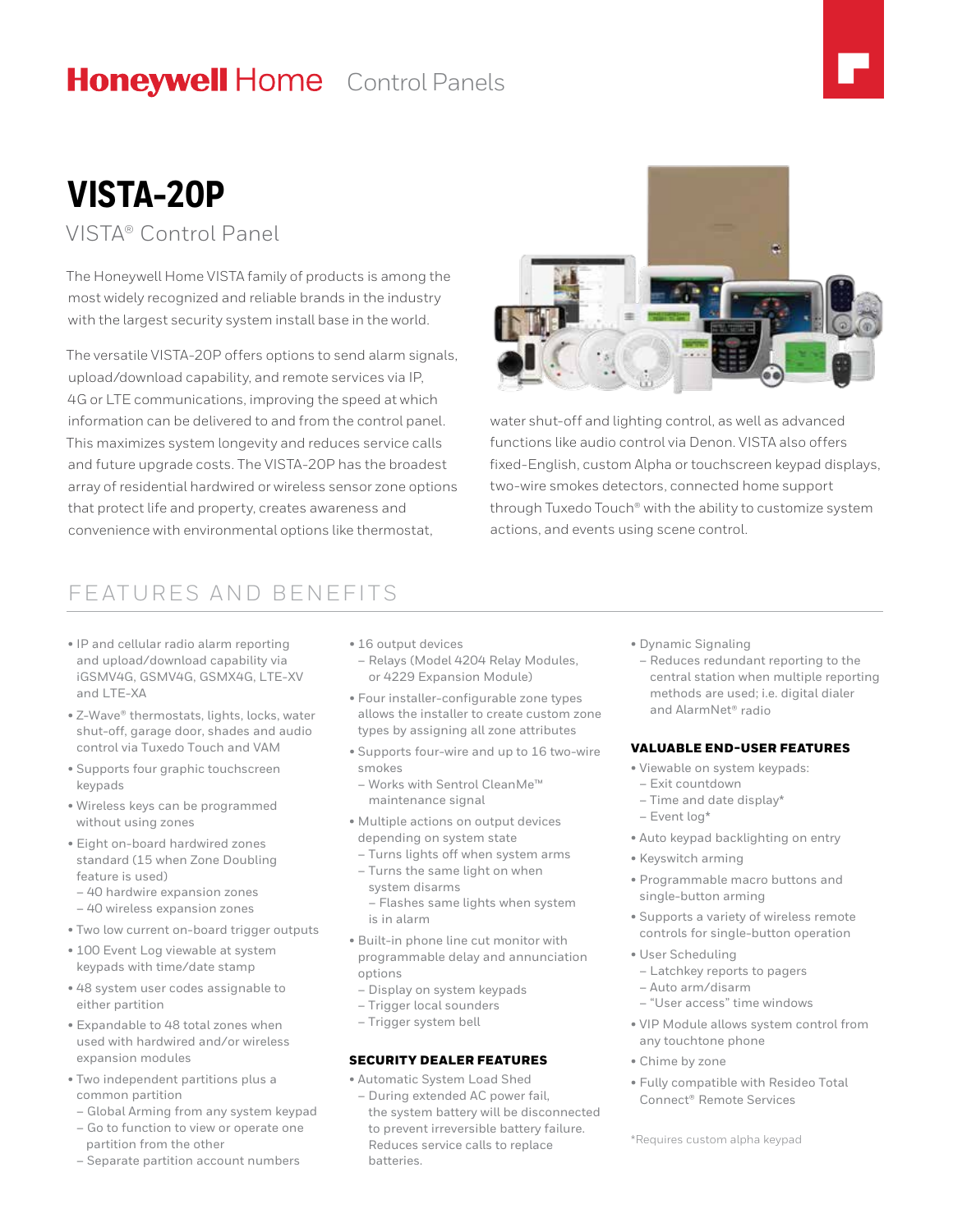## **Honeywell Home** Control Panels

# **VISTA-20P**

### VISTA® Control Panel

The Honeywell Home VISTA family of products is among the most widely recognized and reliable brands in the industry with the largest security system install base in the world.

The versatile VISTA-20P offers options to send alarm signals, upload/download capability, and remote services via IP, 4G or LTE communications, improving the speed at which information can be delivered to and from the control panel. This maximizes system longevity and reduces service calls and future upgrade costs. The VISTA-20P has the broadest array of residential hardwired or wireless sensor zone options that protect life and property, creates awareness and convenience with environmental options like thermostat,



water shut-off and lighting control, as well as advanced functions like audio control via Denon. VISTA also offers fixed-English, custom Alpha or touchscreen keypad displays, two-wire smokes detectors, connected home support through Tuxedo Touch® with the ability to customize system actions, and events using scene control.

## FEATURES AND BENEFITS

- IP and cellular radio alarm reporting and upload/download capability via iGSMV4G, GSMV4G, GSMX4G, LTE-XV and LTE-XA
- Z-Wave® thermostats, lights, locks, water shut-off, garage door, shades and audio control via Tuxedo Touch and VAM
- Supports four graphic touchscreen keypads
- Wireless keys can be programmed without using zones
- Eight on-board hardwired zones standard (15 when Zone Doubling feature is used)
- 40 hardwire expansion zones
- 40 wireless expansion zones
- Two low current on-board trigger outputs
- 100 Event Log viewable at system keypads with time/date stamp
- 48 system user codes assignable to either partition
- Expandable to 48 total zones when used with hardwired and/or wireless expansion modules
- Two independent partitions plus a common partition
- Global Arming from any system keypad
- Go to function to view or operate one partition from the other
- Separate partition account numbers
- 16 output devices
- Relays (Model 4204 Relay Modules, or 4229 Expansion Module)
- Four installer-configurable zone types allows the installer to create custom zone types by assigning all zone attributes
- Supports four-wire and up to 16 two-wire smokes
- Works with Sentrol CleanMe™ maintenance signal
- Multiple actions on output devices depending on system state
- Turns lights off when system arms – Turns the same light on when system disarms
- Flashes same lights when system is in alarm
- Built-in phone line cut monitor with programmable delay and annunciation options
- Display on system keypads
- Trigger local sounders
- Trigger system bell

#### SECURITY DEALER FEATURES

• Automatic System Load Shed

– During extended AC power fail, the system battery will be disconnected to prevent irreversible battery failure. Reduces service calls to replace batteries.

- Dynamic Signaling
- Reduces redundant reporting to the central station when multiple reporting methods are used; i.e. digital dialer and AlarmNet® radio

#### VALUABLE END-USER FEATURES

- Viewable on system keypads:
- Exit countdown
- Time and date display\*
- Event log\*
- Auto keypad backlighting on entry
- Keyswitch arming
- Programmable macro buttons and single-button arming
- Supports a variety of wireless remote controls for single-button operation
- User Scheduling
- Latchkey reports to pagers
- Auto arm/disarm
- "User access" time windows
- VIP Module allows system control from any touchtone phone
- Chime by zone
- Fully compatible with Resideo Total Connect® Remote Services

\*Requires custom alpha keypad